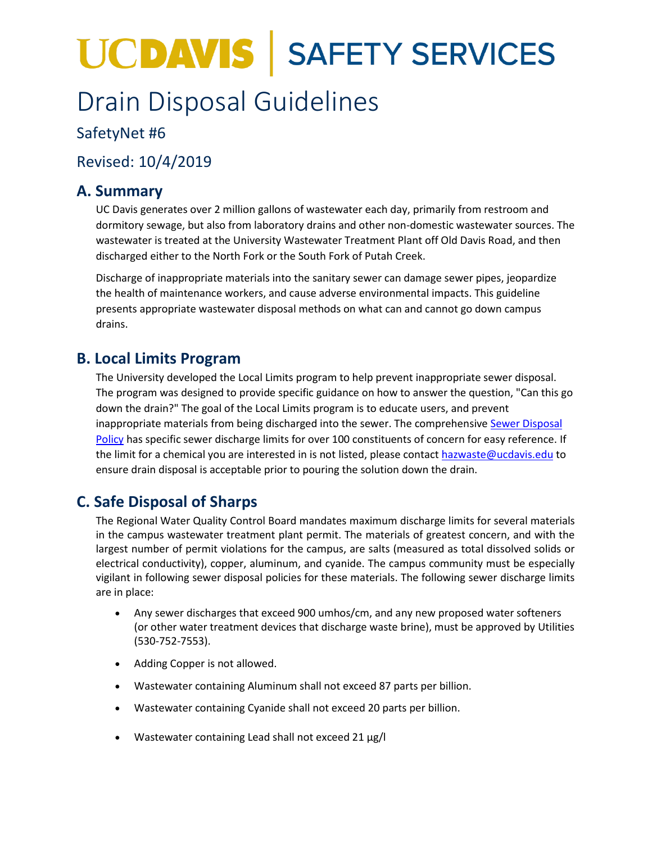# **UCDAVIS | SAFETY SERVICES**

## Drain Disposal Guidelines

#### SafetyNet #6

### Revised: 10/4/2019

#### **A. Summary**

UC Davis generates over 2 million gallons of wastewater each day, primarily from restroom and dormitory sewage, but also from laboratory drains and other non-domestic wastewater sources. The wastewater is treated at the University Wastewater Treatment Plant off Old Davis Road, and then discharged either to the North Fork or the South Fork of Putah Creek.

Discharge of inappropriate materials into the sanitary sewer can damage sewer pipes, jeopardize the health of maintenance workers, and cause adverse environmental impacts. This guideline presents appropriate wastewater disposal methods on what can and cannot go down campus drains.

#### **B. Local Limits Program**

The University developed the Local Limits program to help prevent inappropriate sewer disposal. The program was designed to provide specific guidance on how to answer the question, "Can this go down the drain?" The goal of the Local Limits program is to educate users, and prevent inappropriate materials from being discharged into the sewer. The comprehensive [Sewer Disposal](http://utilities.ucdavis.edu/sewer_disposal/disposalpolicy.html)  [Policy](http://utilities.ucdavis.edu/sewer_disposal/disposalpolicy.html) has specific sewer discharge limits for over 100 constituents of concern for easy reference. If the limit for a chemical you are interested in is not listed, please contact [hazwaste@ucdavis.edu](mailto:hazwaste@ucdavis.edu) to ensure drain disposal is acceptable prior to pouring the solution down the drain.

#### **C. Safe Disposal of Sharps**

The Regional Water Quality Control Board mandates maximum discharge limits for several materials in the campus wastewater treatment plant permit. The materials of greatest concern, and with the largest number of permit violations for the campus, are salts (measured as total dissolved solids or electrical conductivity), copper, aluminum, and cyanide. The campus community must be especially vigilant in following sewer disposal policies for these materials. The following sewer discharge limits are in place:

- Any sewer discharges that exceed 900 umhos/cm, and any new proposed water softeners (or other water treatment devices that discharge waste brine), must be approved by Utilities (530-752-7553).
- Adding Copper is not allowed.
- Wastewater containing Aluminum shall not exceed 87 parts per billion.
- Wastewater containing Cyanide shall not exceed 20 parts per billion.
- Wastewater containing Lead shall not exceed 21 µg/l